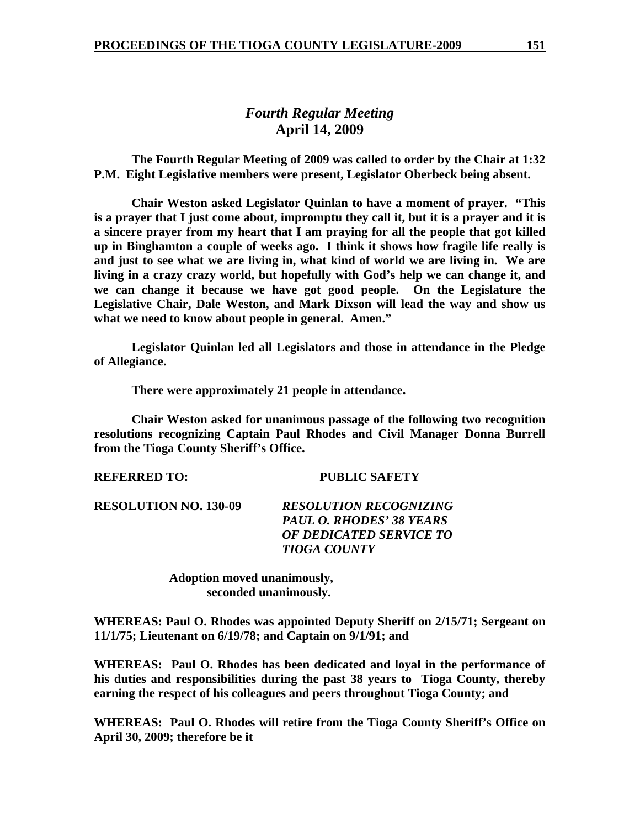## *Fourth Regular Meeting*  **April 14, 2009**

 **The Fourth Regular Meeting of 2009 was called to order by the Chair at 1:32 P.M. Eight Legislative members were present, Legislator Oberbeck being absent.** 

**Chair Weston asked Legislator Quinlan to have a moment of prayer. "This is a prayer that I just come about, impromptu they call it, but it is a prayer and it is a sincere prayer from my heart that I am praying for all the people that got killed up in Binghamton a couple of weeks ago. I think it shows how fragile life really is and just to see what we are living in, what kind of world we are living in. We are living in a crazy crazy world, but hopefully with God's help we can change it, and we can change it because we have got good people. On the Legislature the Legislative Chair, Dale Weston, and Mark Dixson will lead the way and show us what we need to know about people in general. Amen."** 

 **Legislator Quinlan led all Legislators and those in attendance in the Pledge of Allegiance.** 

 **There were approximately 21 people in attendance.** 

 **Chair Weston asked for unanimous passage of the following two recognition resolutions recognizing Captain Paul Rhodes and Civil Manager Donna Burrell from the Tioga County Sheriff's Office.** 

**REFERRED TO: PUBLIC SAFETY** 

**RESOLUTION NO. 130-09** *RESOLUTION RECOGNIZING PAUL O. RHODES' 38 YEARS OF DEDICATED SERVICE TO TIOGA COUNTY* 

> **Adoption moved unanimously, seconded unanimously.**

**WHEREAS: Paul O. Rhodes was appointed Deputy Sheriff on 2/15/71; Sergeant on 11/1/75; Lieutenant on 6/19/78; and Captain on 9/1/91; and** 

**WHEREAS: Paul O. Rhodes has been dedicated and loyal in the performance of his duties and responsibilities during the past 38 years to Tioga County, thereby earning the respect of his colleagues and peers throughout Tioga County; and** 

**WHEREAS: Paul O. Rhodes will retire from the Tioga County Sheriff's Office on April 30, 2009; therefore be it**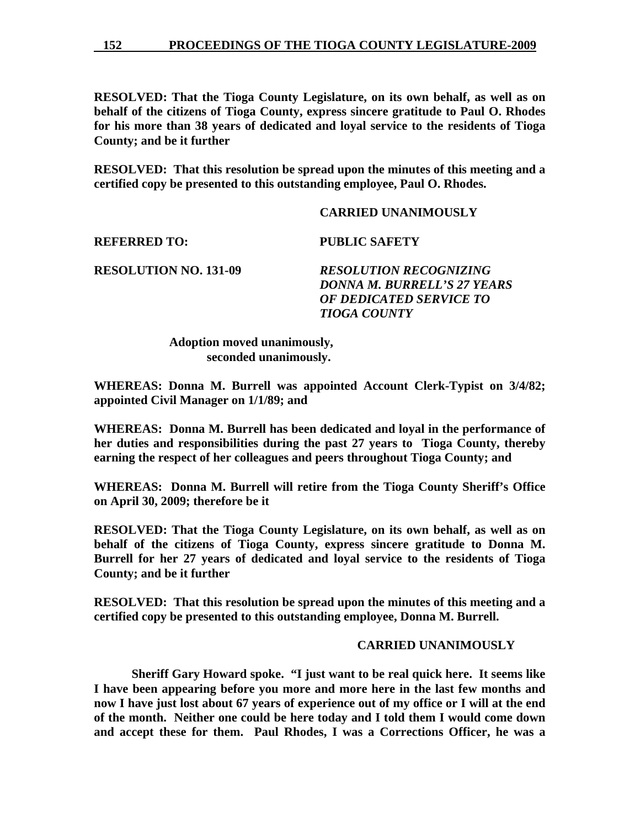**152 PROCEEDINGS OF THE TIOGA COUNTY LEGISLATURE-2009**

**RESOLVED: That the Tioga County Legislature, on its own behalf, as well as on behalf of the citizens of Tioga County, express sincere gratitude to Paul O. Rhodes for his more than 38 years of dedicated and loyal service to the residents of Tioga County; and be it further** 

**RESOLVED: That this resolution be spread upon the minutes of this meeting and a certified copy be presented to this outstanding employee, Paul O. Rhodes.** 

## **CARRIED UNANIMOUSLY**

**REFERRED TO: PUBLIC SAFETY** 

**RESOLUTION NO. 131-09** *RESOLUTION RECOGNIZING DONNA M. BURRELL'S 27 YEARS OF DEDICATED SERVICE TO TIOGA COUNTY* 

> **Adoption moved unanimously, seconded unanimously.**

**WHEREAS: Donna M. Burrell was appointed Account Clerk-Typist on 3/4/82; appointed Civil Manager on 1/1/89; and** 

**WHEREAS: Donna M. Burrell has been dedicated and loyal in the performance of her duties and responsibilities during the past 27 years to Tioga County, thereby earning the respect of her colleagues and peers throughout Tioga County; and** 

**WHEREAS: Donna M. Burrell will retire from the Tioga County Sheriff's Office on April 30, 2009; therefore be it** 

**RESOLVED: That the Tioga County Legislature, on its own behalf, as well as on behalf of the citizens of Tioga County, express sincere gratitude to Donna M. Burrell for her 27 years of dedicated and loyal service to the residents of Tioga County; and be it further** 

**RESOLVED: That this resolution be spread upon the minutes of this meeting and a certified copy be presented to this outstanding employee, Donna M. Burrell.** 

## **CARRIED UNANIMOUSLY**

 **Sheriff Gary Howard spoke. "I just want to be real quick here. It seems like I have been appearing before you more and more here in the last few months and now I have just lost about 67 years of experience out of my office or I will at the end of the month. Neither one could be here today and I told them I would come down and accept these for them. Paul Rhodes, I was a Corrections Officer, he was a**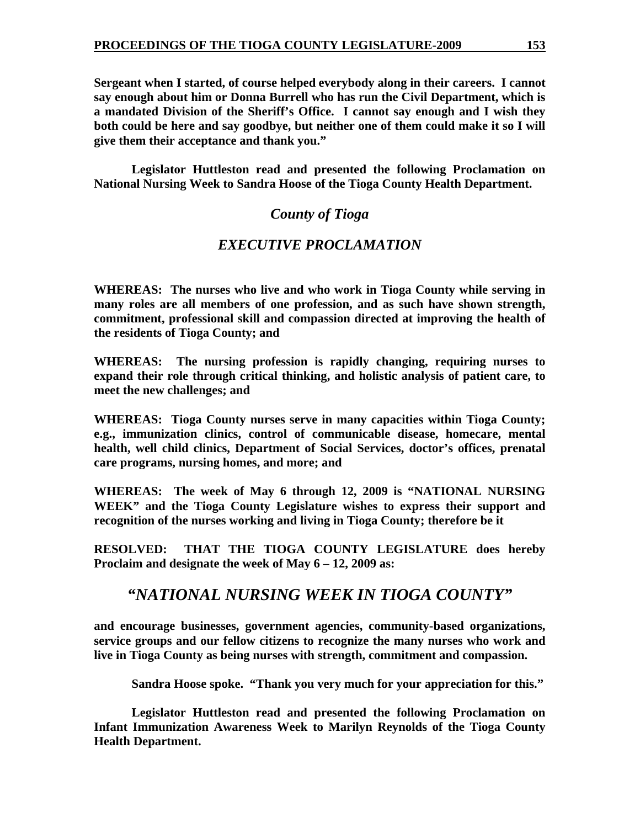**Sergeant when I started, of course helped everybody along in their careers. I cannot say enough about him or Donna Burrell who has run the Civil Department, which is a mandated Division of the Sheriff's Office. I cannot say enough and I wish they both could be here and say goodbye, but neither one of them could make it so I will give them their acceptance and thank you."** 

 **Legislator Huttleston read and presented the following Proclamation on National Nursing Week to Sandra Hoose of the Tioga County Health Department.** 

# *County of Tioga*

# *EXECUTIVE PROCLAMATION*

**WHEREAS: The nurses who live and who work in Tioga County while serving in many roles are all members of one profession, and as such have shown strength, commitment, professional skill and compassion directed at improving the health of the residents of Tioga County; and** 

**WHEREAS: The nursing profession is rapidly changing, requiring nurses to expand their role through critical thinking, and holistic analysis of patient care, to meet the new challenges; and** 

**WHEREAS: Tioga County nurses serve in many capacities within Tioga County; e.g., immunization clinics, control of communicable disease, homecare, mental health, well child clinics, Department of Social Services, doctor's offices, prenatal care programs, nursing homes, and more; and** 

**WHEREAS: The week of May 6 through 12, 2009 is "NATIONAL NURSING WEEK" and the Tioga County Legislature wishes to express their support and recognition of the nurses working and living in Tioga County; therefore be it** 

**RESOLVED: THAT THE TIOGA COUNTY LEGISLATURE does hereby Proclaim and designate the week of May 6 – 12, 2009 as:** 

# *"NATIONAL NURSING WEEK IN TIOGA COUNTY"*

**and encourage businesses, government agencies, community-based organizations, service groups and our fellow citizens to recognize the many nurses who work and live in Tioga County as being nurses with strength, commitment and compassion.** 

 **Sandra Hoose spoke. "Thank you very much for your appreciation for this."** 

 **Legislator Huttleston read and presented the following Proclamation on Infant Immunization Awareness Week to Marilyn Reynolds of the Tioga County Health Department.**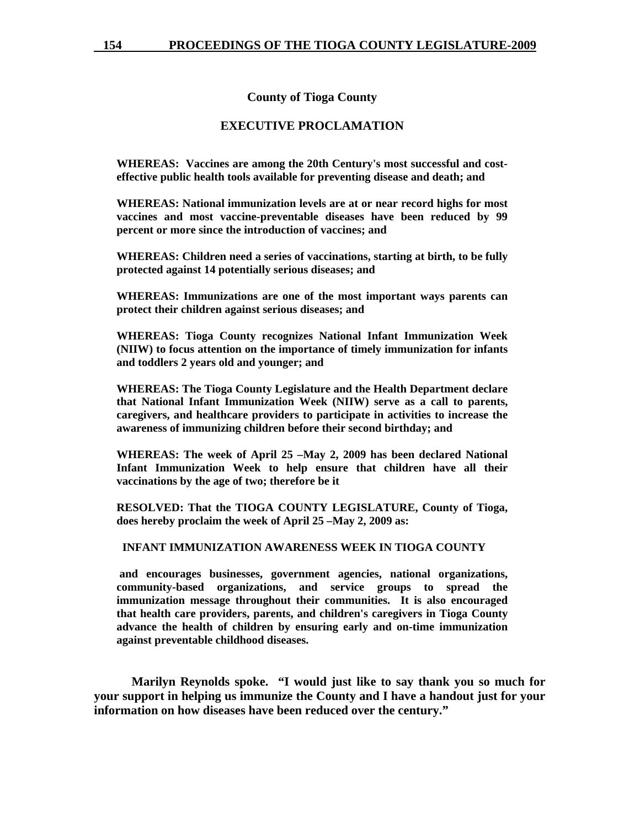**County of Tioga County** 

#### **EXECUTIVE PROCLAMATION**

**WHEREAS: Vaccines are among the 20th Century's most successful and costeffective public health tools available for preventing disease and death; and** 

**WHEREAS: National immunization levels are at or near record highs for most vaccines and most vaccine-preventable diseases have been reduced by 99 percent or more since the introduction of vaccines; and** 

**WHEREAS: Children need a series of vaccinations, starting at birth, to be fully protected against 14 potentially serious diseases; and** 

**WHEREAS: Immunizations are one of the most important ways parents can protect their children against serious diseases; and** 

**WHEREAS: Tioga County recognizes National Infant Immunization Week (NIIW) to focus attention on the importance of timely immunization for infants and toddlers 2 years old and younger; and** 

**WHEREAS: The Tioga County Legislature and the Health Department declare that National Infant Immunization Week (NIIW) serve as a call to parents, caregivers, and healthcare providers to participate in activities to increase the awareness of immunizing children before their second birthday; and** 

**WHEREAS: The week of April 25 –May 2, 2009 has been declared National Infant Immunization Week to help ensure that children have all their vaccinations by the age of two; therefore be it** 

**RESOLVED: That the TIOGA COUNTY LEGISLATURE, County of Tioga, does hereby proclaim the week of April 25 –May 2, 2009 as:** 

#### **INFANT IMMUNIZATION AWARENESS WEEK IN TIOGA COUNTY**

 **and encourages businesses, government agencies, national organizations, community-based organizations, and service groups to spread the immunization message throughout their communities. It is also encouraged that health care providers, parents, and children's caregivers in Tioga County advance the health of children by ensuring early and on-time immunization against preventable childhood diseases.** 

 **Marilyn Reynolds spoke. "I would just like to say thank you so much for your support in helping us immunize the County and I have a handout just for your information on how diseases have been reduced over the century."**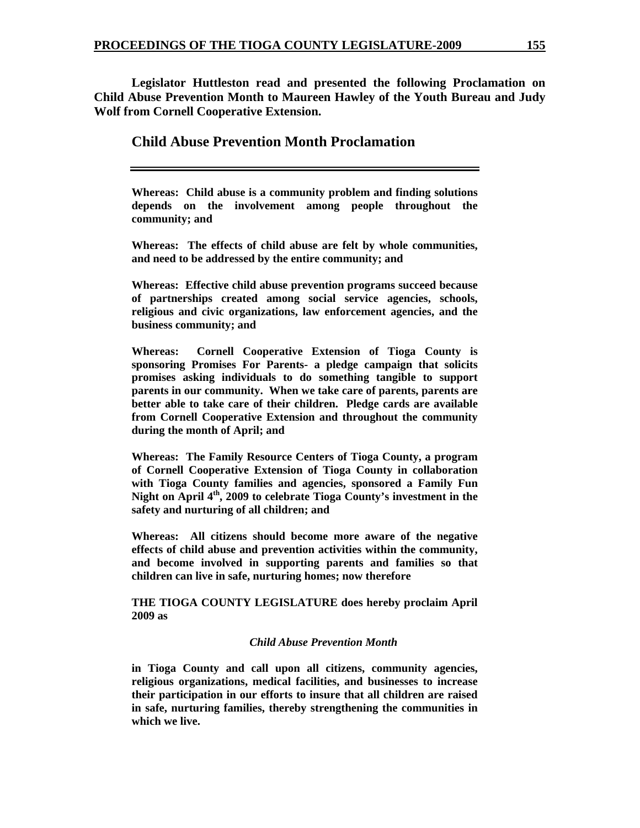**Legislator Huttleston read and presented the following Proclamation on Child Abuse Prevention Month to Maureen Hawley of the Youth Bureau and Judy Wolf from Cornell Cooperative Extension.** 

## **Child Abuse Prevention Month Proclamation**

**Whereas: Child abuse is a community problem and finding solutions depends on the involvement among people throughout the community; and** 

**Whereas: The effects of child abuse are felt by whole communities, and need to be addressed by the entire community; and** 

**Whereas: Effective child abuse prevention programs succeed because of partnerships created among social service agencies, schools, religious and civic organizations, law enforcement agencies, and the business community; and** 

**Whereas: Cornell Cooperative Extension of Tioga County is sponsoring Promises For Parents- a pledge campaign that solicits promises asking individuals to do something tangible to support parents in our community. When we take care of parents, parents are better able to take care of their children. Pledge cards are available from Cornell Cooperative Extension and throughout the community during the month of April; and** 

**Whereas: The Family Resource Centers of Tioga County, a program of Cornell Cooperative Extension of Tioga County in collaboration with Tioga County families and agencies, sponsored a Family Fun Night on April 4th, 2009 to celebrate Tioga County's investment in the safety and nurturing of all children; and** 

**Whereas: All citizens should become more aware of the negative effects of child abuse and prevention activities within the community, and become involved in supporting parents and families so that children can live in safe, nurturing homes; now therefore** 

**THE TIOGA COUNTY LEGISLATURE does hereby proclaim April 2009 as** 

#### *Child Abuse Prevention Month*

**in Tioga County and call upon all citizens, community agencies, religious organizations, medical facilities, and businesses to increase their participation in our efforts to insure that all children are raised in safe, nurturing families, thereby strengthening the communities in which we live.**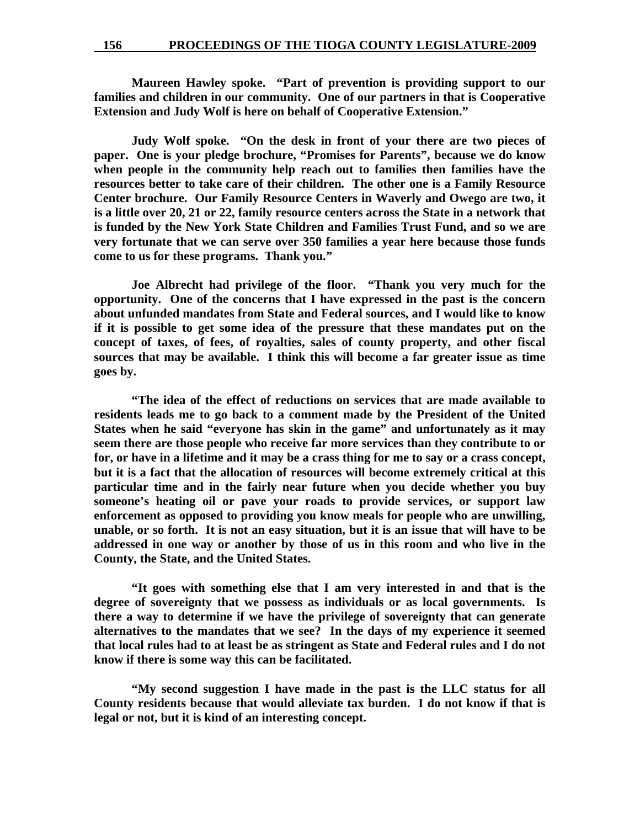**Maureen Hawley spoke. "Part of prevention is providing support to our families and children in our community. One of our partners in that is Cooperative Extension and Judy Wolf is here on behalf of Cooperative Extension."** 

 **Judy Wolf spoke. "On the desk in front of your there are two pieces of paper. One is your pledge brochure, "Promises for Parents", because we do know when people in the community help reach out to families then families have the resources better to take care of their children. The other one is a Family Resource Center brochure. Our Family Resource Centers in Waverly and Owego are two, it is a little over 20, 21 or 22, family resource centers across the State in a network that is funded by the New York State Children and Families Trust Fund, and so we are very fortunate that we can serve over 350 families a year here because those funds come to us for these programs. Thank you."** 

 **Joe Albrecht had privilege of the floor. "Thank you very much for the opportunity. One of the concerns that I have expressed in the past is the concern about unfunded mandates from State and Federal sources, and I would like to know if it is possible to get some idea of the pressure that these mandates put on the concept of taxes, of fees, of royalties, sales of county property, and other fiscal sources that may be available. I think this will become a far greater issue as time goes by.** 

 **"The idea of the effect of reductions on services that are made available to residents leads me to go back to a comment made by the President of the United States when he said "everyone has skin in the game" and unfortunately as it may seem there are those people who receive far more services than they contribute to or for, or have in a lifetime and it may be a crass thing for me to say or a crass concept, but it is a fact that the allocation of resources will become extremely critical at this particular time and in the fairly near future when you decide whether you buy someone's heating oil or pave your roads to provide services, or support law enforcement as opposed to providing you know meals for people who are unwilling, unable, or so forth. It is not an easy situation, but it is an issue that will have to be addressed in one way or another by those of us in this room and who live in the County, the State, and the United States.** 

 **"It goes with something else that I am very interested in and that is the degree of sovereignty that we possess as individuals or as local governments. Is there a way to determine if we have the privilege of sovereignty that can generate alternatives to the mandates that we see? In the days of my experience it seemed that local rules had to at least be as stringent as State and Federal rules and I do not know if there is some way this can be facilitated.** 

 **"My second suggestion I have made in the past is the LLC status for all County residents because that would alleviate tax burden. I do not know if that is legal or not, but it is kind of an interesting concept.**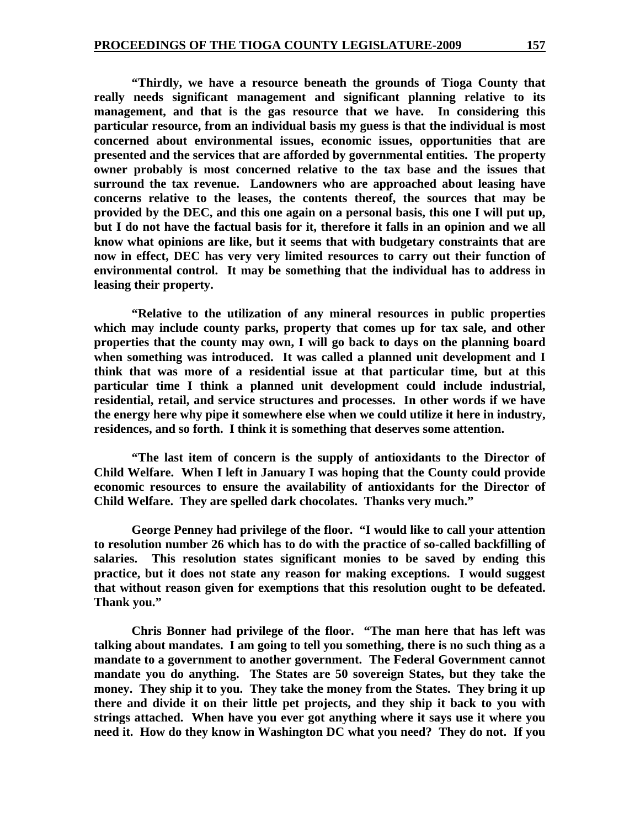**"Thirdly, we have a resource beneath the grounds of Tioga County that really needs significant management and significant planning relative to its management, and that is the gas resource that we have. In considering this particular resource, from an individual basis my guess is that the individual is most concerned about environmental issues, economic issues, opportunities that are presented and the services that are afforded by governmental entities. The property owner probably is most concerned relative to the tax base and the issues that surround the tax revenue. Landowners who are approached about leasing have concerns relative to the leases, the contents thereof, the sources that may be provided by the DEC, and this one again on a personal basis, this one I will put up, but I do not have the factual basis for it, therefore it falls in an opinion and we all know what opinions are like, but it seems that with budgetary constraints that are now in effect, DEC has very very limited resources to carry out their function of environmental control. It may be something that the individual has to address in leasing their property.** 

 **"Relative to the utilization of any mineral resources in public properties which may include county parks, property that comes up for tax sale, and other properties that the county may own, I will go back to days on the planning board when something was introduced. It was called a planned unit development and I think that was more of a residential issue at that particular time, but at this particular time I think a planned unit development could include industrial, residential, retail, and service structures and processes. In other words if we have the energy here why pipe it somewhere else when we could utilize it here in industry, residences, and so forth. I think it is something that deserves some attention.** 

 **"The last item of concern is the supply of antioxidants to the Director of Child Welfare. When I left in January I was hoping that the County could provide economic resources to ensure the availability of antioxidants for the Director of Child Welfare. They are spelled dark chocolates. Thanks very much."** 

 **George Penney had privilege of the floor. "I would like to call your attention to resolution number 26 which has to do with the practice of so-called backfilling of salaries. This resolution states significant monies to be saved by ending this practice, but it does not state any reason for making exceptions. I would suggest that without reason given for exemptions that this resolution ought to be defeated. Thank you."** 

 **Chris Bonner had privilege of the floor. "The man here that has left was talking about mandates. I am going to tell you something, there is no such thing as a mandate to a government to another government. The Federal Government cannot mandate you do anything. The States are 50 sovereign States, but they take the money. They ship it to you. They take the money from the States. They bring it up there and divide it on their little pet projects, and they ship it back to you with strings attached. When have you ever got anything where it says use it where you need it. How do they know in Washington DC what you need? They do not. If you**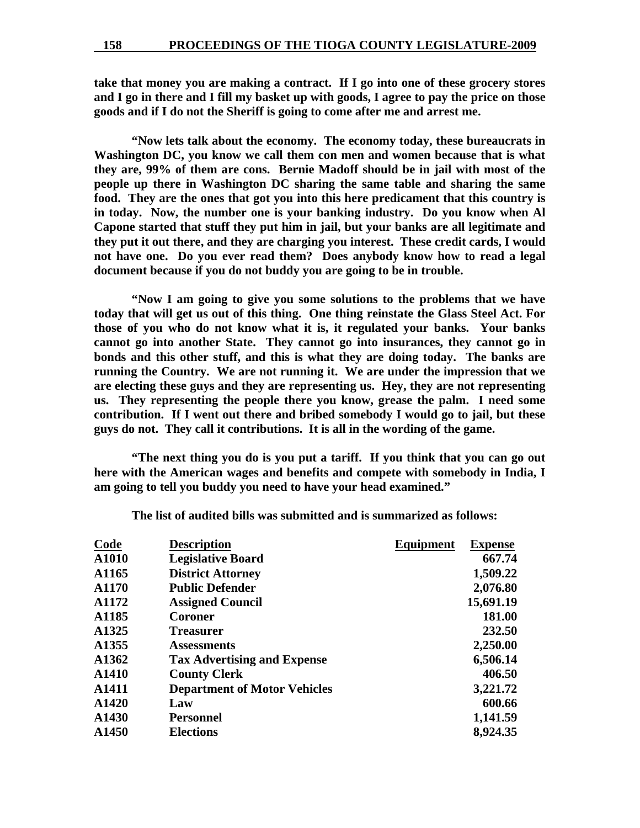**take that money you are making a contract. If I go into one of these grocery stores and I go in there and I fill my basket up with goods, I agree to pay the price on those goods and if I do not the Sheriff is going to come after me and arrest me.** 

 **"Now lets talk about the economy. The economy today, these bureaucrats in Washington DC, you know we call them con men and women because that is what they are, 99% of them are cons. Bernie Madoff should be in jail with most of the people up there in Washington DC sharing the same table and sharing the same food. They are the ones that got you into this here predicament that this country is in today. Now, the number one is your banking industry. Do you know when Al Capone started that stuff they put him in jail, but your banks are all legitimate and they put it out there, and they are charging you interest. These credit cards, I would not have one. Do you ever read them? Does anybody know how to read a legal document because if you do not buddy you are going to be in trouble.** 

 **"Now I am going to give you some solutions to the problems that we have today that will get us out of this thing. One thing reinstate the Glass Steel Act. For those of you who do not know what it is, it regulated your banks. Your banks cannot go into another State. They cannot go into insurances, they cannot go in bonds and this other stuff, and this is what they are doing today. The banks are running the Country. We are not running it. We are under the impression that we are electing these guys and they are representing us. Hey, they are not representing us. They representing the people there you know, grease the palm. I need some contribution. If I went out there and bribed somebody I would go to jail, but these guys do not. They call it contributions. It is all in the wording of the game.** 

 **"The next thing you do is you put a tariff. If you think that you can go out here with the American wages and benefits and compete with somebody in India, I am going to tell you buddy you need to have your head examined."** 

| <b>Code</b> | <b>Description</b>                  | Equipment | <b>Expense</b> |
|-------------|-------------------------------------|-----------|----------------|
| A1010       | <b>Legislative Board</b>            |           | 667.74         |
| A1165       | <b>District Attorney</b>            |           | 1,509.22       |
| A1170       | <b>Public Defender</b>              |           | 2,076.80       |
| A1172       | <b>Assigned Council</b>             |           | 15,691.19      |
| A1185       | Coroner                             |           | 181.00         |
| A1325       | <b>Treasurer</b>                    |           | 232.50         |
| A1355       | <b>Assessments</b>                  |           | 2,250.00       |
| A1362       | <b>Tax Advertising and Expense</b>  |           | 6,506.14       |
| A1410       | <b>County Clerk</b>                 |           | 406.50         |
| A1411       | <b>Department of Motor Vehicles</b> |           | 3,221.72       |
| A1420       | Law                                 |           | 600.66         |
| A1430       | <b>Personnel</b>                    |           | 1,141.59       |
| A1450       | <b>Elections</b>                    |           | 8,924.35       |
|             |                                     |           |                |

**The list of audited bills was submitted and is summarized as follows:**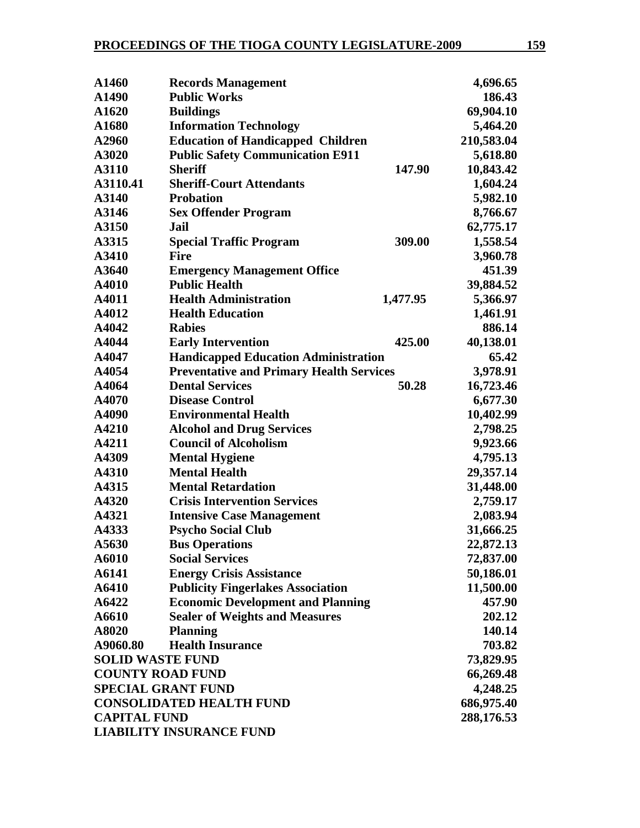| A1460                             | <b>Records Management</b>                       |          | 4,696.65   |
|-----------------------------------|-------------------------------------------------|----------|------------|
| A1490                             | <b>Public Works</b>                             |          | 186.43     |
| A1620                             | <b>Buildings</b>                                |          | 69,904.10  |
| A1680                             | <b>Information Technology</b>                   |          | 5,464.20   |
| A2960                             | <b>Education of Handicapped Children</b>        |          | 210,583.04 |
| A3020                             | <b>Public Safety Communication E911</b>         |          | 5,618.80   |
| A3110                             | <b>Sheriff</b>                                  | 147.90   | 10,843.42  |
| A3110.41                          | <b>Sheriff-Court Attendants</b>                 |          | 1,604.24   |
| A3140                             | <b>Probation</b>                                |          | 5,982.10   |
| A3146                             | <b>Sex Offender Program</b>                     |          | 8,766.67   |
| A3150                             | Jail                                            |          | 62,775.17  |
| A3315                             | <b>Special Traffic Program</b>                  | 309.00   | 1,558.54   |
| A3410                             | <b>Fire</b>                                     |          | 3,960.78   |
| A3640                             | <b>Emergency Management Office</b>              |          | 451.39     |
| A4010                             | <b>Public Health</b>                            |          | 39,884.52  |
| A4011                             | <b>Health Administration</b>                    | 1,477.95 | 5,366.97   |
| A4012                             | <b>Health Education</b>                         |          | 1,461.91   |
| A4042                             | <b>Rabies</b>                                   |          | 886.14     |
| A4044                             | <b>Early Intervention</b>                       | 425.00   | 40,138.01  |
| A4047                             | <b>Handicapped Education Administration</b>     |          | 65.42      |
| A4054                             | <b>Preventative and Primary Health Services</b> |          | 3,978.91   |
| A4064                             | <b>Dental Services</b>                          | 50.28    | 16,723.46  |
| A4070                             | <b>Disease Control</b>                          |          | 6,677.30   |
| A4090                             | <b>Environmental Health</b>                     |          | 10,402.99  |
| A4210                             | <b>Alcohol and Drug Services</b>                |          | 2,798.25   |
| A4211                             | <b>Council of Alcoholism</b>                    |          | 9,923.66   |
| A4309                             | <b>Mental Hygiene</b>                           |          | 4,795.13   |
| A4310                             | <b>Mental Health</b>                            |          | 29,357.14  |
| A4315                             | <b>Mental Retardation</b>                       |          | 31,448.00  |
| A4320                             | <b>Crisis Intervention Services</b>             |          | 2,759.17   |
| A4321                             | <b>Intensive Case Management</b>                |          | 2,083.94   |
| A4333                             | <b>Psycho Social Club</b>                       |          | 31,666.25  |
| A5630                             | <b>Bus Operations</b>                           |          | 22,872.13  |
| A6010                             | <b>Social Services</b>                          |          | 72,837.00  |
| A6141                             | <b>Energy Crisis Assistance</b>                 |          | 50,186.01  |
| A6410                             | <b>Publicity Fingerlakes Association</b>        |          | 11,500.00  |
| A6422                             | <b>Economic Development and Planning</b>        |          | 457.90     |
| A6610                             | <b>Sealer of Weights and Measures</b>           |          | 202.12     |
| A8020                             | <b>Planning</b>                                 |          | 140.14     |
| A9060.80                          | <b>Health Insurance</b>                         |          | 703.82     |
| <b>SOLID WASTE FUND</b>           |                                                 |          | 73,829.95  |
| <b>COUNTY ROAD FUND</b>           |                                                 |          | 66,269.48  |
|                                   | <b>SPECIAL GRANT FUND</b>                       |          | 4,248.25   |
|                                   | <b>CONSOLIDATED HEALTH FUND</b>                 |          | 686,975.40 |
| <b>CAPITAL FUND</b><br>288,176.53 |                                                 |          |            |
| <b>LIABILITY INSURANCE FUND</b>   |                                                 |          |            |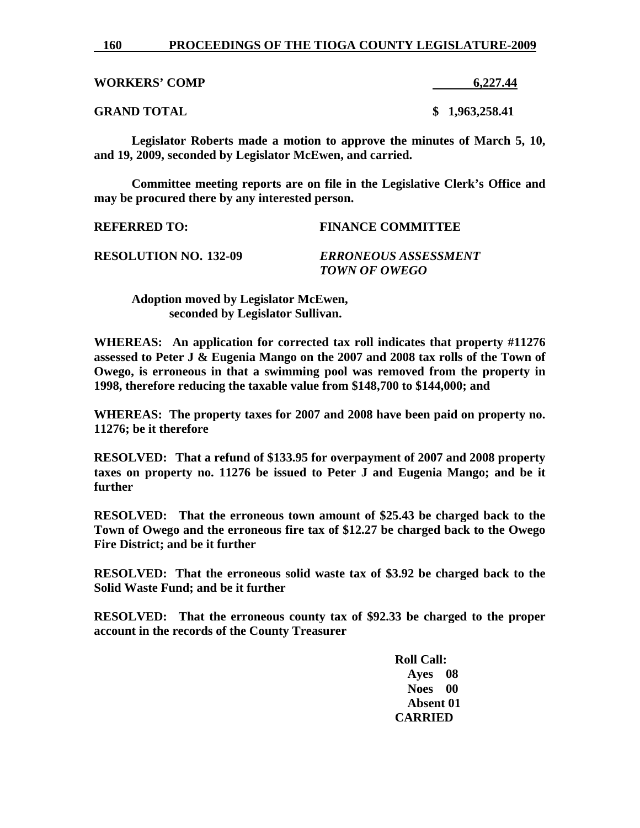#### **160 PROCEEDINGS OF THE TIOGA COUNTY LEGISLATURE-2009**

| <b>WORKERS' COMP</b> | 6,227.44       |
|----------------------|----------------|
| <b>GRAND TOTAL</b>   | \$1,963,258.41 |

**Legislator Roberts made a motion to approve the minutes of March 5, 10, and 19, 2009, seconded by Legislator McEwen, and carried.** 

**Committee meeting reports are on file in the Legislative Clerk's Office and may be procured there by any interested person.** 

| <b>REFERRED TO:</b>          | <b>FINANCE COMMITTEE</b>                     |
|------------------------------|----------------------------------------------|
| <b>RESOLUTION NO. 132-09</b> | <b>ERRONEOUS ASSESSMENT</b><br>TOWN OF OWEGO |

 **Adoption moved by Legislator McEwen, seconded by Legislator Sullivan.** 

**WHEREAS: An application for corrected tax roll indicates that property #11276 assessed to Peter J & Eugenia Mango on the 2007 and 2008 tax rolls of the Town of Owego, is erroneous in that a swimming pool was removed from the property in 1998, therefore reducing the taxable value from \$148,700 to \$144,000; and** 

**WHEREAS: The property taxes for 2007 and 2008 have been paid on property no. 11276; be it therefore** 

**RESOLVED: That a refund of \$133.95 for overpayment of 2007 and 2008 property taxes on property no. 11276 be issued to Peter J and Eugenia Mango; and be it further** 

**RESOLVED: That the erroneous town amount of \$25.43 be charged back to the Town of Owego and the erroneous fire tax of \$12.27 be charged back to the Owego Fire District; and be it further** 

**RESOLVED: That the erroneous solid waste tax of \$3.92 be charged back to the Solid Waste Fund; and be it further** 

**RESOLVED: That the erroneous county tax of \$92.33 be charged to the proper account in the records of the County Treasurer** 

> **Roll Call: Ayes 08 Noes 00 Absent 01 CARRIED**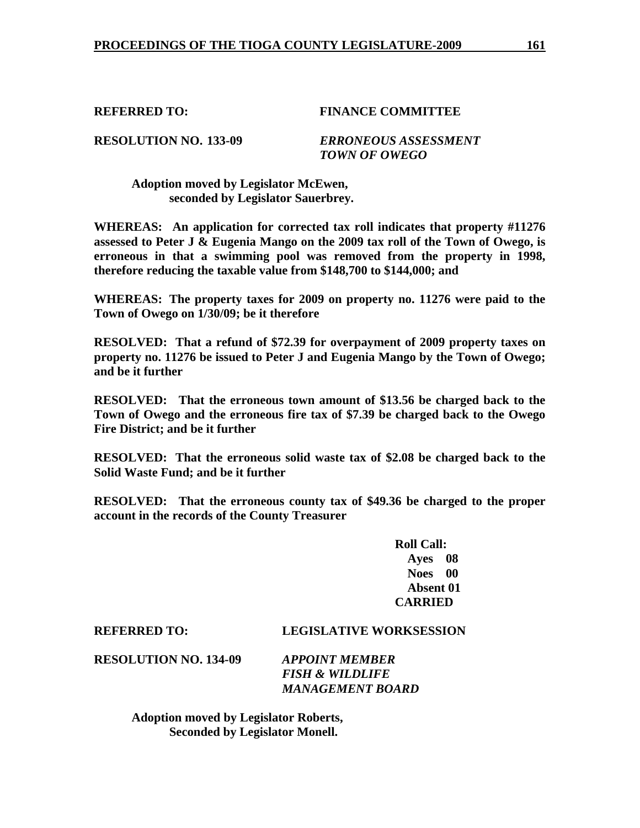## **REFERRED TO: FINANCE COMMITTEE**

**RESOLUTION NO. 133-09** *ERRONEOUS ASSESSMENT TOWN OF OWEGO* 

 **Adoption moved by Legislator McEwen, seconded by Legislator Sauerbrey.** 

**WHEREAS: An application for corrected tax roll indicates that property #11276 assessed to Peter J & Eugenia Mango on the 2009 tax roll of the Town of Owego, is erroneous in that a swimming pool was removed from the property in 1998, therefore reducing the taxable value from \$148,700 to \$144,000; and** 

**WHEREAS: The property taxes for 2009 on property no. 11276 were paid to the Town of Owego on 1/30/09; be it therefore** 

**RESOLVED: That a refund of \$72.39 for overpayment of 2009 property taxes on property no. 11276 be issued to Peter J and Eugenia Mango by the Town of Owego; and be it further** 

**RESOLVED: That the erroneous town amount of \$13.56 be charged back to the Town of Owego and the erroneous fire tax of \$7.39 be charged back to the Owego Fire District; and be it further** 

**RESOLVED: That the erroneous solid waste tax of \$2.08 be charged back to the Solid Waste Fund; and be it further** 

**RESOLVED: That the erroneous county tax of \$49.36 be charged to the proper account in the records of the County Treasurer** 

> **Roll Call: Ayes 08 Noes 00 Absent 01 CARRIED**

**REFERRED TO: LEGISLATIVE WORKSESSION** 

**RESOLUTION NO. 134-09** *APPOINT MEMBER* 

 *FISH & WILDLIFE MANAGEMENT BOARD* 

 **Adoption moved by Legislator Roberts, Seconded by Legislator Monell.**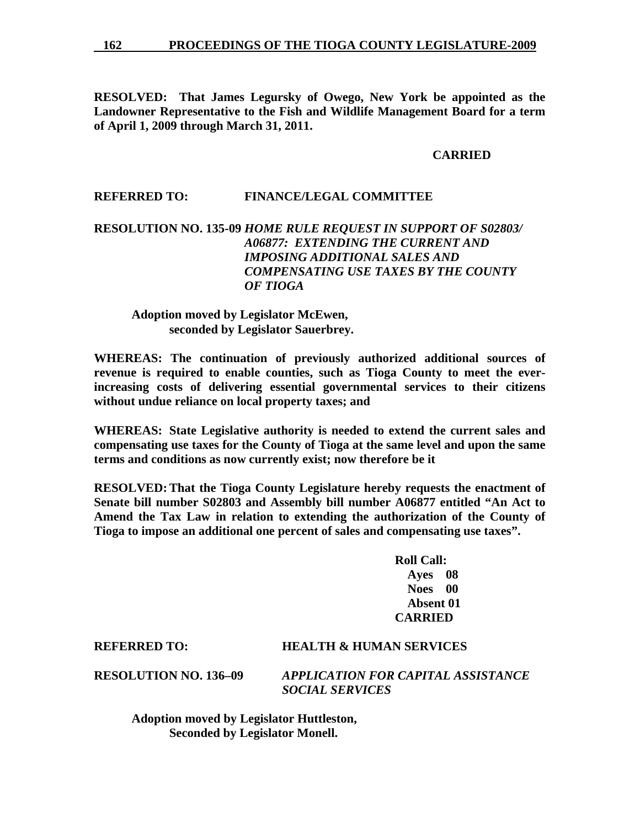**RESOLVED: That James Legursky of Owego, New York be appointed as the Landowner Representative to the Fish and Wildlife Management Board for a term of April 1, 2009 through March 31, 2011.** 

## **CARRIED**

## **REFERRED TO: FINANCE/LEGAL COMMITTEE**

## **RESOLUTION NO. 135-09** *HOME RULE REQUEST IN SUPPORT OF S02803/ A06877: EXTENDING THE CURRENT AND IMPOSING ADDITIONAL SALES AND COMPENSATING USE TAXES BY THE COUNTY OF TIOGA*

## **Adoption moved by Legislator McEwen, seconded by Legislator Sauerbrey.**

**WHEREAS: The continuation of previously authorized additional sources of revenue is required to enable counties, such as Tioga County to meet the everincreasing costs of delivering essential governmental services to their citizens without undue reliance on local property taxes; and** 

**WHEREAS: State Legislative authority is needed to extend the current sales and compensating use taxes for the County of Tioga at the same level and upon the same terms and conditions as now currently exist; now therefore be it** 

**RESOLVED: That the Tioga County Legislature hereby requests the enactment of Senate bill number S02803 and Assembly bill number A06877 entitled "An Act to Amend the Tax Law in relation to extending the authorization of the County of Tioga to impose an additional one percent of sales and compensating use taxes".** 

> **Roll Call: Ayes 08 Noes 00 Absent 01 CARRIED**

## **REFERRED TO: HEALTH & HUMAN SERVICES**

**RESOLUTION NO. 136–09** *APPLICATION FOR CAPITAL ASSISTANCE SOCIAL SERVICES* 

 **Adoption moved by Legislator Huttleston, Seconded by Legislator Monell.**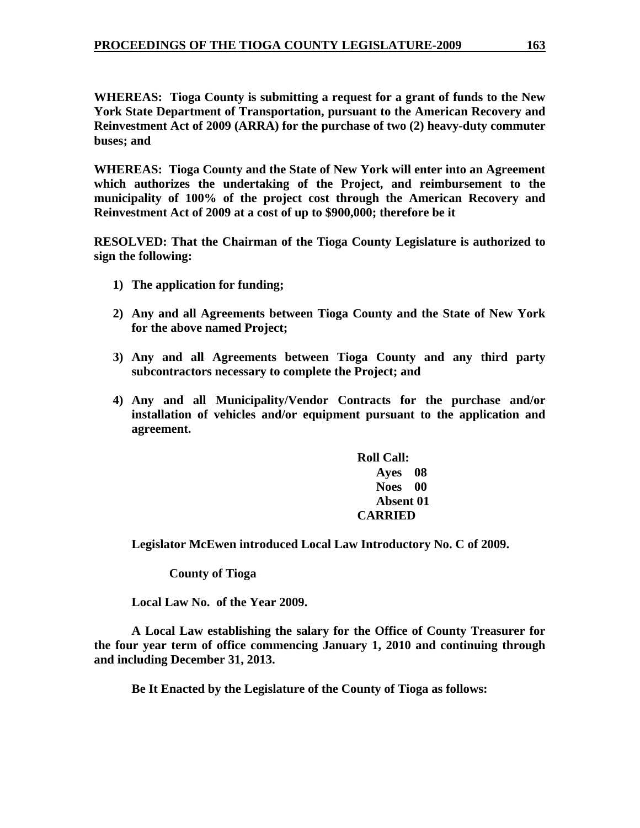**WHEREAS: Tioga County is submitting a request for a grant of funds to the New York State Department of Transportation, pursuant to the American Recovery and Reinvestment Act of 2009 (ARRA) for the purchase of two (2) heavy-duty commuter buses; and** 

**WHEREAS: Tioga County and the State of New York will enter into an Agreement which authorizes the undertaking of the Project, and reimbursement to the municipality of 100% of the project cost through the American Recovery and Reinvestment Act of 2009 at a cost of up to \$900,000; therefore be it** 

**RESOLVED: That the Chairman of the Tioga County Legislature is authorized to sign the following:** 

- **1) The application for funding;**
- **2) Any and all Agreements between Tioga County and the State of New York for the above named Project;**
- **3) Any and all Agreements between Tioga County and any third party subcontractors necessary to complete the Project; and**
- **4) Any and all Municipality/Vendor Contracts for the purchase and/or installation of vehicles and/or equipment pursuant to the application and agreement.**

**Roll Call: Ayes 08 Noes 00 Absent 01 CARRIED** 

 **Legislator McEwen introduced Local Law Introductory No. C of 2009.** 

 **County of Tioga** 

 **Local Law No. of the Year 2009.** 

**A Local Law establishing the salary for the Office of County Treasurer for the four year term of office commencing January 1, 2010 and continuing through and including December 31, 2013.** 

**Be It Enacted by the Legislature of the County of Tioga as follows:**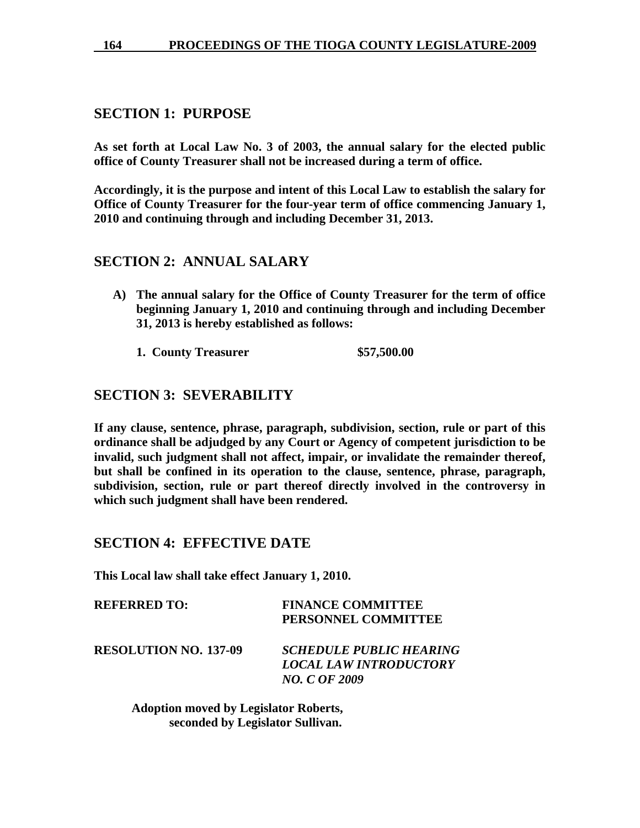## **SECTION 1: PURPOSE**

**As set forth at Local Law No. 3 of 2003, the annual salary for the elected public office of County Treasurer shall not be increased during a term of office.** 

**Accordingly, it is the purpose and intent of this Local Law to establish the salary for Office of County Treasurer for the four-year term of office commencing January 1, 2010 and continuing through and including December 31, 2013.** 

## **SECTION 2: ANNUAL SALARY**

- **A) The annual salary for the Office of County Treasurer for the term of office beginning January 1, 2010 and continuing through and including December 31, 2013 is hereby established as follows:** 
	- **1. County Treasurer \$57,500.00**

# **SECTION 3: SEVERABILITY**

**If any clause, sentence, phrase, paragraph, subdivision, section, rule or part of this ordinance shall be adjudged by any Court or Agency of competent jurisdiction to be invalid, such judgment shall not affect, impair, or invalidate the remainder thereof, but shall be confined in its operation to the clause, sentence, phrase, paragraph, subdivision, section, rule or part thereof directly involved in the controversy in which such judgment shall have been rendered.** 

## **SECTION 4: EFFECTIVE DATE**

**This Local law shall take effect January 1, 2010.** 

| <b>REFERRED TO:</b> | <b>FINANCE COMMITTEE</b> |
|---------------------|--------------------------|
|                     | PERSONNEL COMMITTEE      |

**RESOLUTION NO. 137-09** *SCHEDULE PUBLIC HEARING LOCAL LAW INTRODUCTORY NO. C OF 2009* 

> **Adoption moved by Legislator Roberts, seconded by Legislator Sullivan.**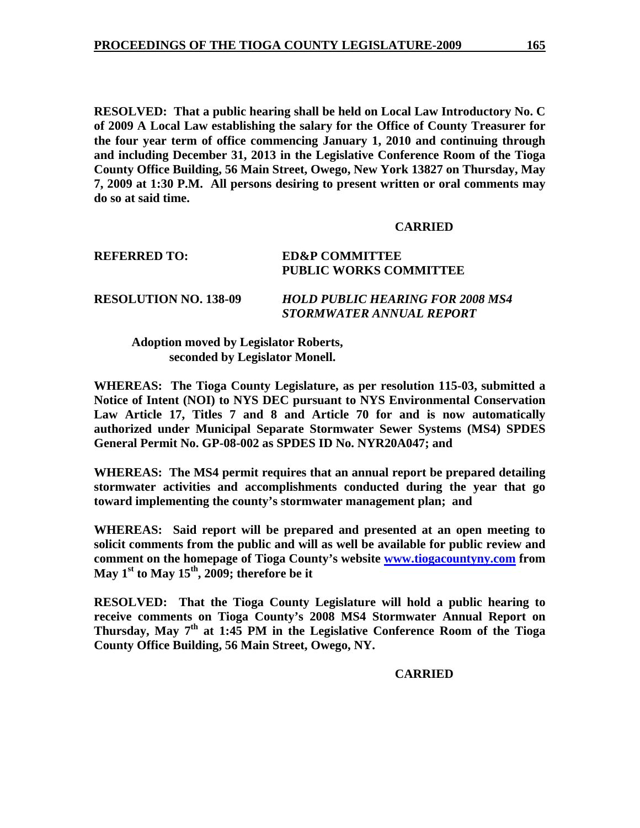**RESOLVED: That a public hearing shall be held on Local Law Introductory No. C of 2009 A Local Law establishing the salary for the Office of County Treasurer for the four year term of office commencing January 1, 2010 and continuing through and including December 31, 2013 in the Legislative Conference Room of the Tioga County Office Building, 56 Main Street, Owego, New York 13827 on Thursday, May 7, 2009 at 1:30 P.M. All persons desiring to present written or oral comments may do so at said time.** 

## **CARRIED**

## **REFERRED TO: ED&P COMMITTEE PUBLIC WORKS COMMITTEE**

**RESOLUTION NO. 138-09** *HOLD PUBLIC HEARING FOR 2008 MS4 STORMWATER ANNUAL REPORT* 

 **Adoption moved by Legislator Roberts, seconded by Legislator Monell.** 

**WHEREAS: The Tioga County Legislature, as per resolution 115-03, submitted a Notice of Intent (NOI) to NYS DEC pursuant to NYS Environmental Conservation Law Article 17, Titles 7 and 8 and Article 70 for and is now automatically authorized under Municipal Separate Stormwater Sewer Systems (MS4) SPDES General Permit No. GP-08-002 as SPDES ID No. NYR20A047; and** 

**WHEREAS: The MS4 permit requires that an annual report be prepared detailing stormwater activities and accomplishments conducted during the year that go toward implementing the county's stormwater management plan; and** 

**WHEREAS: Said report will be prepared and presented at an open meeting to solicit comments from the public and will as well be available for public review and comment on the homepage of Tioga County's website www.tiogacountyny.com from**  May 1<sup>st</sup> to May 15<sup>th</sup>, 2009; therefore be it

**RESOLVED: That the Tioga County Legislature will hold a public hearing to receive comments on Tioga County's 2008 MS4 Stormwater Annual Report on Thursday, May 7th at 1:45 PM in the Legislative Conference Room of the Tioga County Office Building, 56 Main Street, Owego, NY.** 

**CARRIED**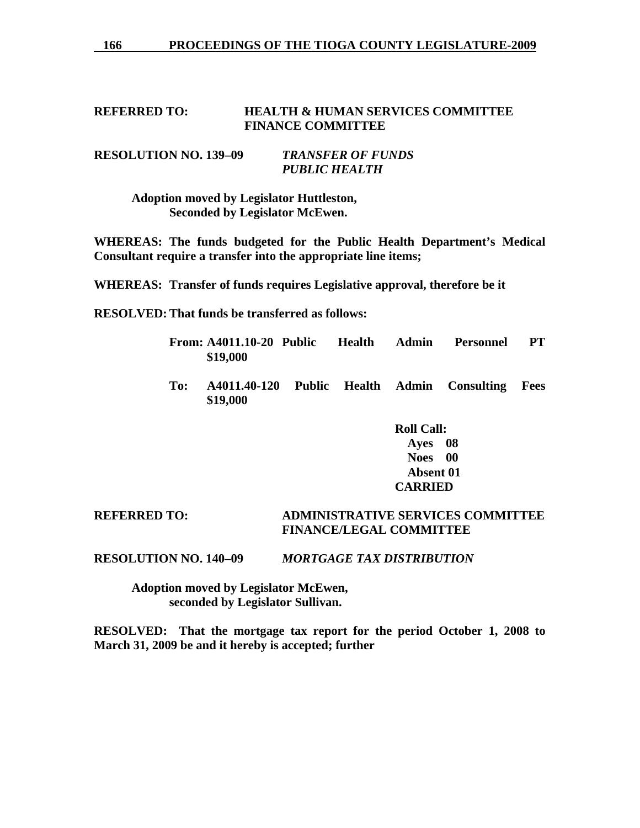166 PROCEEDINGS OF THE TIOGA COUNTY LEGISLATURE-2009

## **REFERRED TO: HEALTH & HUMAN SERVICES COMMITTEE FINANCE COMMITTEE**

## **RESOLUTION NO. 139–09** *TRANSFER OF FUNDS PUBLIC HEALTH*

 **Adoption moved by Legislator Huttleston, Seconded by Legislator McEwen.** 

**WHEREAS: The funds budgeted for the Public Health Department's Medical Consultant require a transfer into the appropriate line items;** 

**WHEREAS: Transfer of funds requires Legislative approval, therefore be it** 

**RESOLVED: That funds be transferred as follows:** 

- **From: A4011.10-20 Public Health Admin Personnel PT \$19,000**
- **To: A4011.40-120 Public Health Admin Consulting Fees \$19,000**

 **Roll Call: Ayes 08 Noes 00 Absent 01 CARRIED** 

## **REFERRED TO: ADMINISTRATIVE SERVICES COMMITTEE FINANCE/LEGAL COMMITTEE**

**RESOLUTION NO. 140–09** *MORTGAGE TAX DISTRIBUTION* 

 **Adoption moved by Legislator McEwen, seconded by Legislator Sullivan.** 

**RESOLVED: That the mortgage tax report for the period October 1, 2008 to March 31, 2009 be and it hereby is accepted; further**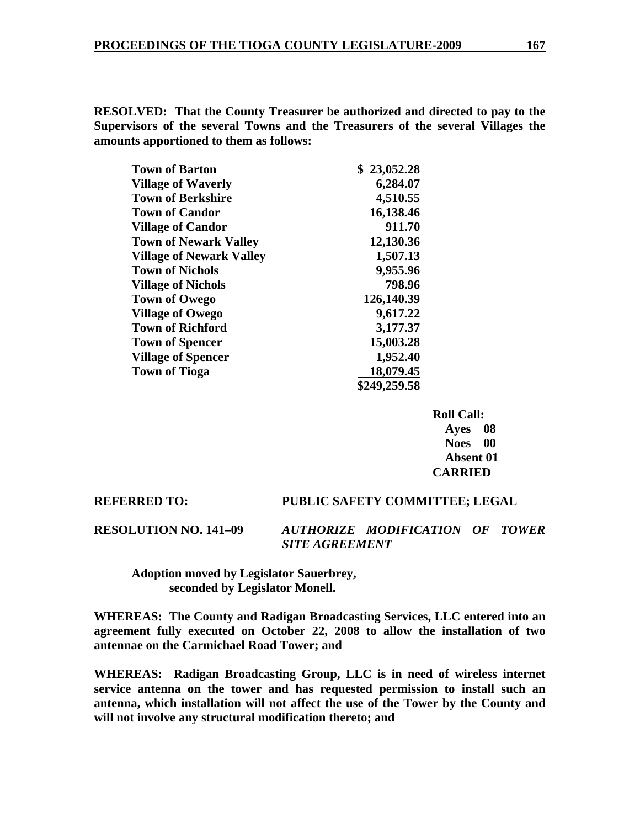**RESOLVED: That the County Treasurer be authorized and directed to pay to the Supervisors of the several Towns and the Treasurers of the several Villages the amounts apportioned to them as follows:** 

| <b>Town of Barton</b>           | \$23,052.28  |
|---------------------------------|--------------|
| <b>Village of Waverly</b>       | 6,284.07     |
| <b>Town of Berkshire</b>        | 4,510.55     |
| <b>Town of Candor</b>           | 16,138.46    |
| <b>Village of Candor</b>        | 911.70       |
| <b>Town of Newark Valley</b>    | 12,130.36    |
| <b>Village of Newark Valley</b> | 1,507.13     |
| <b>Town of Nichols</b>          | 9,955.96     |
| <b>Village of Nichols</b>       | 798.96       |
| <b>Town of Owego</b>            | 126,140.39   |
| <b>Village of Owego</b>         | 9,617.22     |
| <b>Town of Richford</b>         | 3,177.37     |
| <b>Town of Spencer</b>          | 15,003.28    |
| <b>Village of Spencer</b>       | 1,952.40     |
| <b>Town of Tioga</b>            | 18,079.45    |
|                                 | \$249,259.58 |

 **Roll Call: Ayes 08 Noes 00 Absent 01 CARRIED** 

#### **REFERRED TO: PUBLIC SAFETY COMMITTEE; LEGAL**

**RESOLUTION NO. 141–09** *AUTHORIZE MODIFICATION OF TOWER SITE AGREEMENT* 

 **Adoption moved by Legislator Sauerbrey, seconded by Legislator Monell.** 

**WHEREAS: The County and Radigan Broadcasting Services, LLC entered into an agreement fully executed on October 22, 2008 to allow the installation of two antennae on the Carmichael Road Tower; and** 

**WHEREAS: Radigan Broadcasting Group, LLC is in need of wireless internet service antenna on the tower and has requested permission to install such an antenna, which installation will not affect the use of the Tower by the County and will not involve any structural modification thereto; and**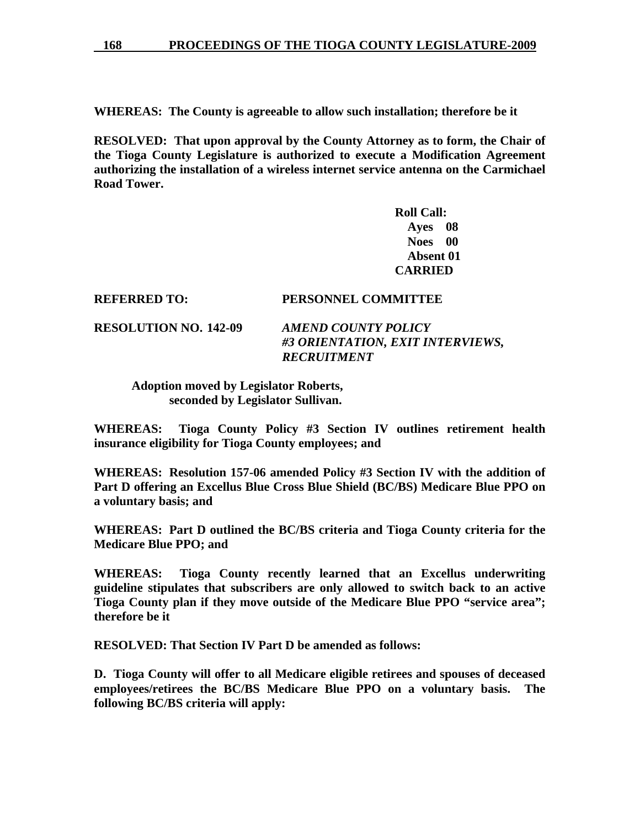**WHEREAS: The County is agreeable to allow such installation; therefore be it** 

**RESOLVED: That upon approval by the County Attorney as to form, the Chair of the Tioga County Legislature is authorized to execute a Modification Agreement authorizing the installation of a wireless internet service antenna on the Carmichael Road Tower.** 

> **Roll Call: Ayes 08 Noes 00 Absent 01 CARRIED**

**REFERRED TO: PERSONNEL COMMITTEE** 

**RESOLUTION NO. 142-09** *AMEND COUNTY POLICY #3 ORIENTATION, EXIT INTERVIEWS, RECRUITMENT* 

 **Adoption moved by Legislator Roberts, seconded by Legislator Sullivan.** 

**WHEREAS: Tioga County Policy #3 Section IV outlines retirement health insurance eligibility for Tioga County employees; and** 

**WHEREAS: Resolution 157-06 amended Policy #3 Section IV with the addition of Part D offering an Excellus Blue Cross Blue Shield (BC/BS) Medicare Blue PPO on a voluntary basis; and** 

**WHEREAS: Part D outlined the BC/BS criteria and Tioga County criteria for the Medicare Blue PPO; and** 

**WHEREAS: Tioga County recently learned that an Excellus underwriting guideline stipulates that subscribers are only allowed to switch back to an active Tioga County plan if they move outside of the Medicare Blue PPO "service area"; therefore be it** 

**RESOLVED: That Section IV Part D be amended as follows:** 

**D. Tioga County will offer to all Medicare eligible retirees and spouses of deceased employees/retirees the BC/BS Medicare Blue PPO on a voluntary basis. The following BC/BS criteria will apply:**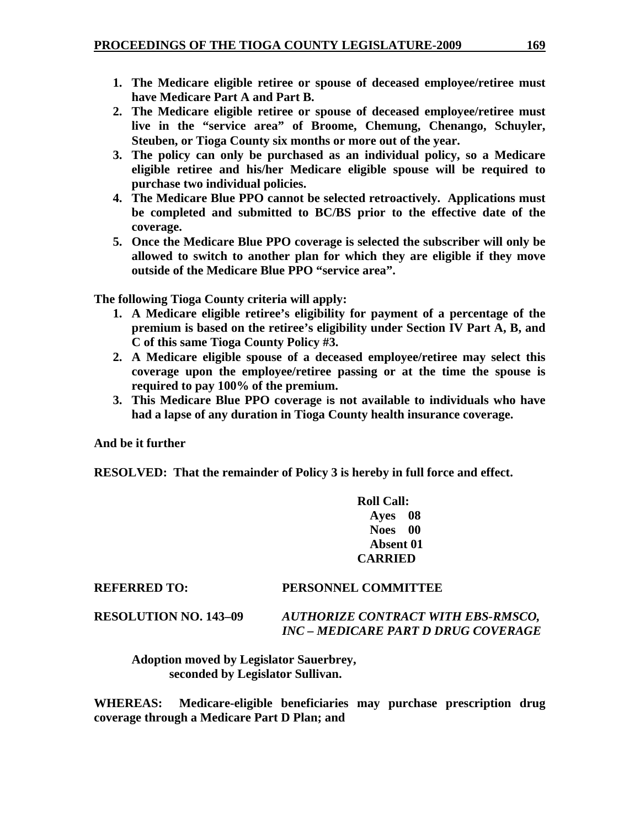- **1. The Medicare eligible retiree or spouse of deceased employee/retiree must have Medicare Part A and Part B.**
- **2. The Medicare eligible retiree or spouse of deceased employee/retiree must live in the "service area" of Broome, Chemung, Chenango, Schuyler, Steuben, or Tioga County six months or more out of the year.**
- **3. The policy can only be purchased as an individual policy, so a Medicare eligible retiree and his/her Medicare eligible spouse will be required to purchase two individual policies.**
- **4. The Medicare Blue PPO cannot be selected retroactively. Applications must be completed and submitted to BC/BS prior to the effective date of the coverage.**
- **5. Once the Medicare Blue PPO coverage is selected the subscriber will only be allowed to switch to another plan for which they are eligible if they move outside of the Medicare Blue PPO "service area".**

**The following Tioga County criteria will apply:** 

- **1. A Medicare eligible retiree's eligibility for payment of a percentage of the premium is based on the retiree's eligibility under Section IV Part A, B, and C of this same Tioga County Policy #3.**
- **2. A Medicare eligible spouse of a deceased employee/retiree may select this coverage upon the employee/retiree passing or at the time the spouse is required to pay 100% of the premium.**
- **3. This Medicare Blue PPO coverage is not available to individuals who have had a lapse of any duration in Tioga County health insurance coverage.**

**And be it further** 

**RESOLVED: That the remainder of Policy 3 is hereby in full force and effect.** 

 **Roll Call: Ayes 08 Noes 00 Absent 01 CARRIED** 

## **REFERRED TO: PERSONNEL COMMITTEE**

**RESOLUTION NO. 143–09** *AUTHORIZE CONTRACT WITH EBS-RMSCO, INC – MEDICARE PART D DRUG COVERAGE* 

 **Adoption moved by Legislator Sauerbrey, seconded by Legislator Sullivan.** 

**WHEREAS: Medicare-eligible beneficiaries may purchase prescription drug coverage through a Medicare Part D Plan; and**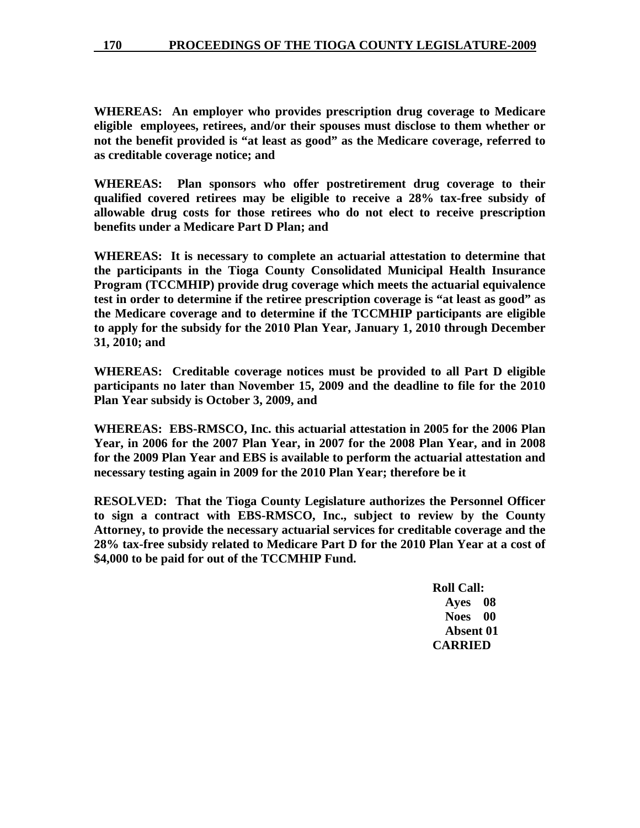**WHEREAS: An employer who provides prescription drug coverage to Medicare eligible employees, retirees, and/or their spouses must disclose to them whether or not the benefit provided is "at least as good" as the Medicare coverage, referred to as creditable coverage notice; and** 

**WHEREAS: Plan sponsors who offer postretirement drug coverage to their qualified covered retirees may be eligible to receive a 28% tax-free subsidy of allowable drug costs for those retirees who do not elect to receive prescription benefits under a Medicare Part D Plan; and** 

**WHEREAS: It is necessary to complete an actuarial attestation to determine that the participants in the Tioga County Consolidated Municipal Health Insurance Program (TCCMHIP) provide drug coverage which meets the actuarial equivalence test in order to determine if the retiree prescription coverage is "at least as good" as the Medicare coverage and to determine if the TCCMHIP participants are eligible to apply for the subsidy for the 2010 Plan Year, January 1, 2010 through December 31, 2010; and** 

**WHEREAS: Creditable coverage notices must be provided to all Part D eligible participants no later than November 15, 2009 and the deadline to file for the 2010 Plan Year subsidy is October 3, 2009, and** 

**WHEREAS: EBS-RMSCO, Inc. this actuarial attestation in 2005 for the 2006 Plan Year, in 2006 for the 2007 Plan Year, in 2007 for the 2008 Plan Year, and in 2008 for the 2009 Plan Year and EBS is available to perform the actuarial attestation and necessary testing again in 2009 for the 2010 Plan Year; therefore be it** 

**RESOLVED: That the Tioga County Legislature authorizes the Personnel Officer to sign a contract with EBS-RMSCO, Inc., subject to review by the County Attorney, to provide the necessary actuarial services for creditable coverage and the 28% tax-free subsidy related to Medicare Part D for the 2010 Plan Year at a cost of \$4,000 to be paid for out of the TCCMHIP Fund.** 

> **Roll Call: Ayes 08 Noes 00 Absent 01 CARRIED**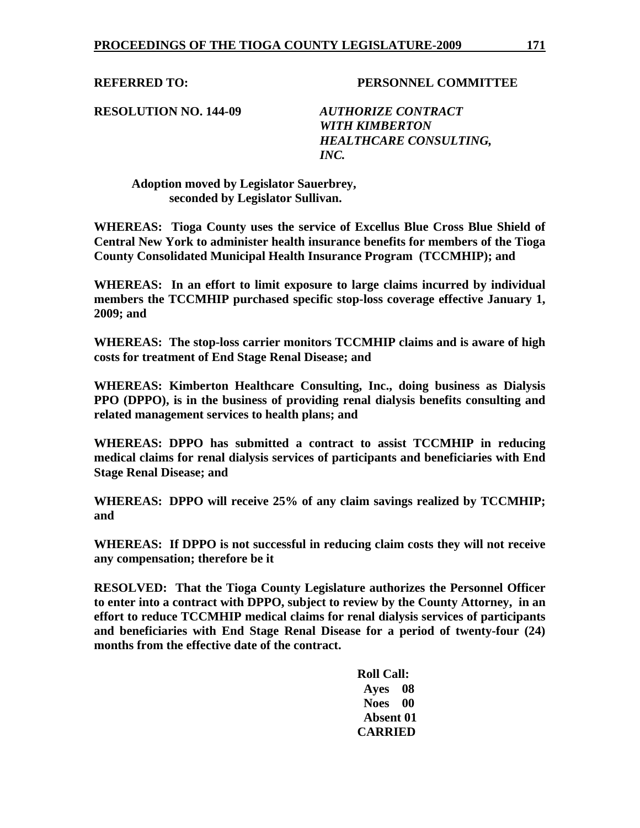**REFERRED TO: PERSONNEL COMMITTEE** 

**RESOLUTION NO. 144-09** *AUTHORIZE CONTRACT* 

 *WITH KIMBERTON HEALTHCARE CONSULTING, INC.* 

 **Adoption moved by Legislator Sauerbrey, seconded by Legislator Sullivan.** 

**WHEREAS: Tioga County uses the service of Excellus Blue Cross Blue Shield of Central New York to administer health insurance benefits for members of the Tioga County Consolidated Municipal Health Insurance Program (TCCMHIP); and** 

**WHEREAS: In an effort to limit exposure to large claims incurred by individual members the TCCMHIP purchased specific stop-loss coverage effective January 1, 2009; and** 

**WHEREAS: The stop-loss carrier monitors TCCMHIP claims and is aware of high costs for treatment of End Stage Renal Disease; and** 

**WHEREAS: Kimberton Healthcare Consulting, Inc., doing business as Dialysis PPO (DPPO), is in the business of providing renal dialysis benefits consulting and related management services to health plans; and** 

**WHEREAS: DPPO has submitted a contract to assist TCCMHIP in reducing medical claims for renal dialysis services of participants and beneficiaries with End Stage Renal Disease; and** 

**WHEREAS: DPPO will receive 25% of any claim savings realized by TCCMHIP; and** 

**WHEREAS: If DPPO is not successful in reducing claim costs they will not receive any compensation; therefore be it** 

**RESOLVED: That the Tioga County Legislature authorizes the Personnel Officer to enter into a contract with DPPO, subject to review by the County Attorney, in an effort to reduce TCCMHIP medical claims for renal dialysis services of participants and beneficiaries with End Stage Renal Disease for a period of twenty-four (24) months from the effective date of the contract.** 

> **Roll Call: Ayes 08 Noes 00 Absent 01 CARRIED**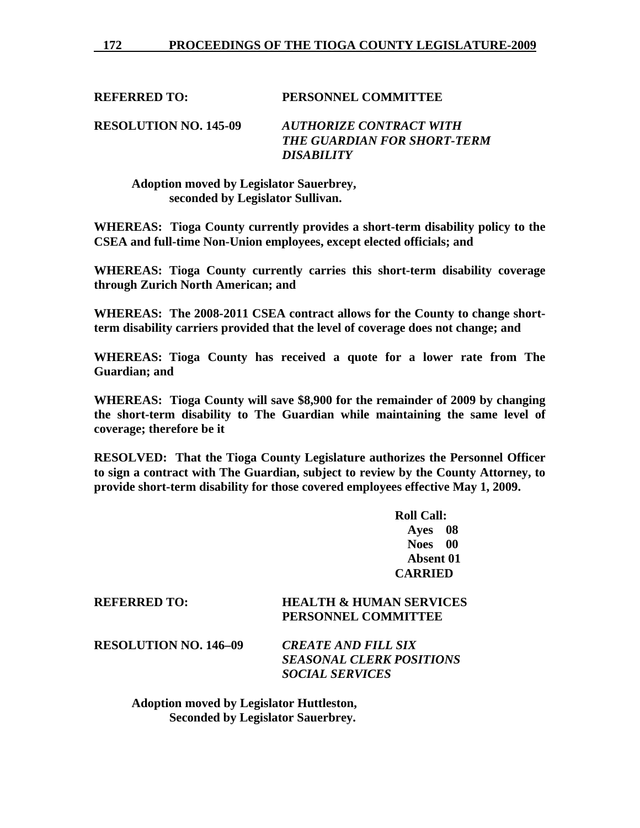**REFERRED TO: PERSONNEL COMMITTEE** 

**RESOLUTION NO. 145-09** *AUTHORIZE CONTRACT WITH THE GUARDIAN FOR SHORT-TERM DISABILITY* 

 **Adoption moved by Legislator Sauerbrey, seconded by Legislator Sullivan.** 

**WHEREAS: Tioga County currently provides a short-term disability policy to the CSEA and full-time Non-Union employees, except elected officials; and** 

**WHEREAS: Tioga County currently carries this short-term disability coverage through Zurich North American; and** 

**WHEREAS: The 2008-2011 CSEA contract allows for the County to change shortterm disability carriers provided that the level of coverage does not change; and** 

**WHEREAS: Tioga County has received a quote for a lower rate from The Guardian; and** 

**WHEREAS: Tioga County will save \$8,900 for the remainder of 2009 by changing the short-term disability to The Guardian while maintaining the same level of coverage; therefore be it** 

**RESOLVED: That the Tioga County Legislature authorizes the Personnel Officer to sign a contract with The Guardian, subject to review by the County Attorney, to provide short-term disability for those covered employees effective May 1, 2009.** 

> **Roll Call: Ayes 08 Noes 00 Absent 01 CARRIED**

## **REFERRED TO: HEALTH & HUMAN SERVICES PERSONNEL COMMITTEE**

**RESOLUTION NO. 146–09** *CREATE AND FILL SIX* 

*SEASONAL CLERK POSITIONS SOCIAL SERVICES* 

 **Adoption moved by Legislator Huttleston, Seconded by Legislator Sauerbrey.**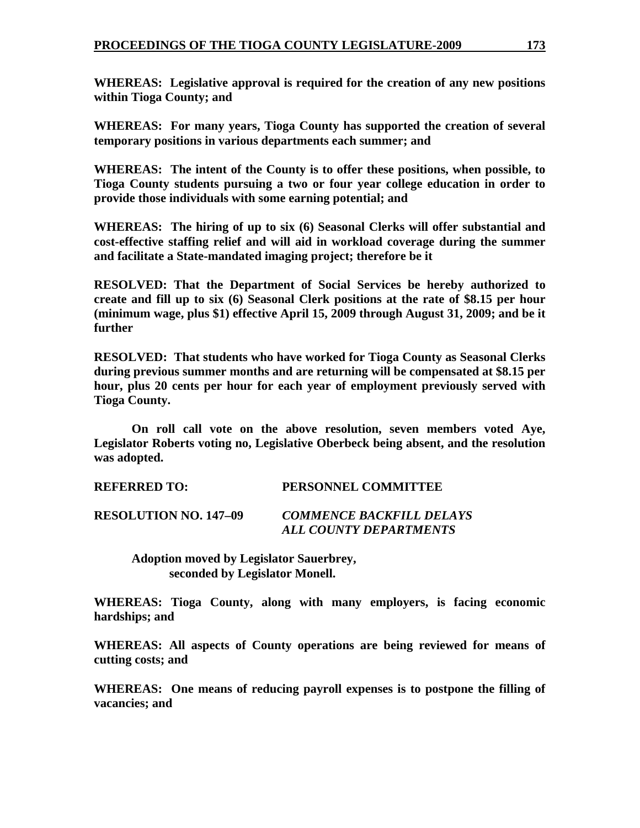**WHEREAS: Legislative approval is required for the creation of any new positions within Tioga County; and** 

**WHEREAS: For many years, Tioga County has supported the creation of several temporary positions in various departments each summer; and** 

**WHEREAS: The intent of the County is to offer these positions, when possible, to Tioga County students pursuing a two or four year college education in order to provide those individuals with some earning potential; and** 

**WHEREAS: The hiring of up to six (6) Seasonal Clerks will offer substantial and cost-effective staffing relief and will aid in workload coverage during the summer and facilitate a State-mandated imaging project; therefore be it** 

**RESOLVED: That the Department of Social Services be hereby authorized to create and fill up to six (6) Seasonal Clerk positions at the rate of \$8.15 per hour (minimum wage, plus \$1) effective April 15, 2009 through August 31, 2009; and be it further** 

**RESOLVED: That students who have worked for Tioga County as Seasonal Clerks during previous summer months and are returning will be compensated at \$8.15 per hour, plus 20 cents per hour for each year of employment previously served with Tioga County.** 

 **On roll call vote on the above resolution, seven members voted Aye, Legislator Roberts voting no, Legislative Oberbeck being absent, and the resolution was adopted.** 

**REFERRED TO: PERSONNEL COMMITTEE** 

**RESOLUTION NO. 147–09** *COMMENCE BACKFILL DELAYS ALL COUNTY DEPARTMENTS* 

 **Adoption moved by Legislator Sauerbrey, seconded by Legislator Monell.** 

**WHEREAS: Tioga County, along with many employers, is facing economic hardships; and** 

**WHEREAS: All aspects of County operations are being reviewed for means of cutting costs; and** 

**WHEREAS: One means of reducing payroll expenses is to postpone the filling of vacancies; and**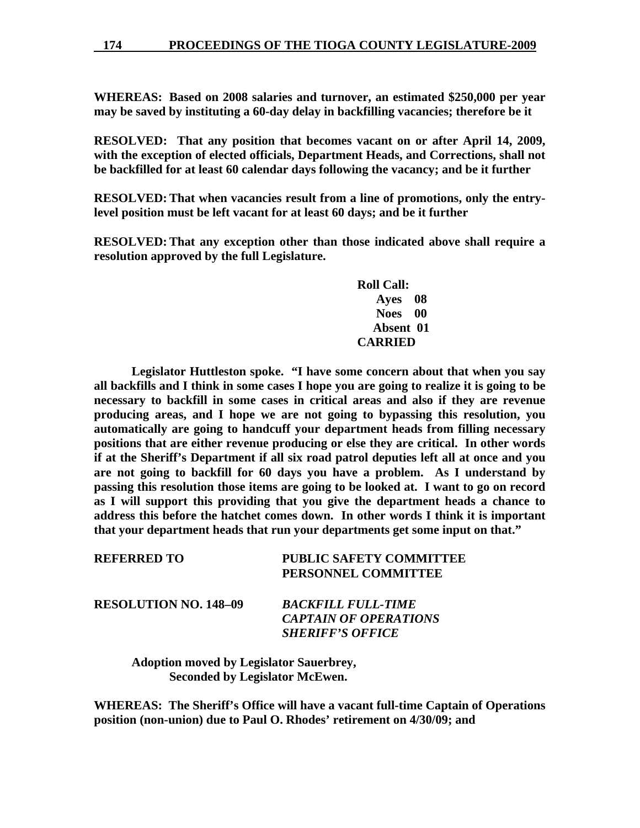**WHEREAS: Based on 2008 salaries and turnover, an estimated \$250,000 per year may be saved by instituting a 60-day delay in backfilling vacancies; therefore be it** 

**RESOLVED: That any position that becomes vacant on or after April 14, 2009, with the exception of elected officials, Department Heads, and Corrections, shall not be backfilled for at least 60 calendar days following the vacancy; and be it further** 

**RESOLVED: That when vacancies result from a line of promotions, only the entrylevel position must be left vacant for at least 60 days; and be it further** 

**RESOLVED: That any exception other than those indicated above shall require a resolution approved by the full Legislature.** 

> **Roll Call: Ayes 08 Noes 00 Absent 01 CARRIED**

 **Legislator Huttleston spoke. "I have some concern about that when you say all backfills and I think in some cases I hope you are going to realize it is going to be necessary to backfill in some cases in critical areas and also if they are revenue producing areas, and I hope we are not going to bypassing this resolution, you automatically are going to handcuff your department heads from filling necessary positions that are either revenue producing or else they are critical. In other words if at the Sheriff's Department if all six road patrol deputies left all at once and you are not going to backfill for 60 days you have a problem. As I understand by passing this resolution those items are going to be looked at. I want to go on record as I will support this providing that you give the department heads a chance to address this before the hatchet comes down. In other words I think it is important that your department heads that run your departments get some input on that."** 

| <b>REFERRED TO</b>           | <b>PUBLIC SAFETY COMMITTEE</b><br>PERSONNEL COMMITTEE                                |
|------------------------------|--------------------------------------------------------------------------------------|
| <b>RESOLUTION NO. 148-09</b> | <b>BACKFILL FULL-TIME</b><br><b>CAPTAIN OF OPERATIONS</b><br><b>SHERIFF'S OFFICE</b> |

 **Adoption moved by Legislator Sauerbrey, Seconded by Legislator McEwen.** 

**WHEREAS: The Sheriff's Office will have a vacant full-time Captain of Operations position (non-union) due to Paul O. Rhodes' retirement on 4/30/09; and**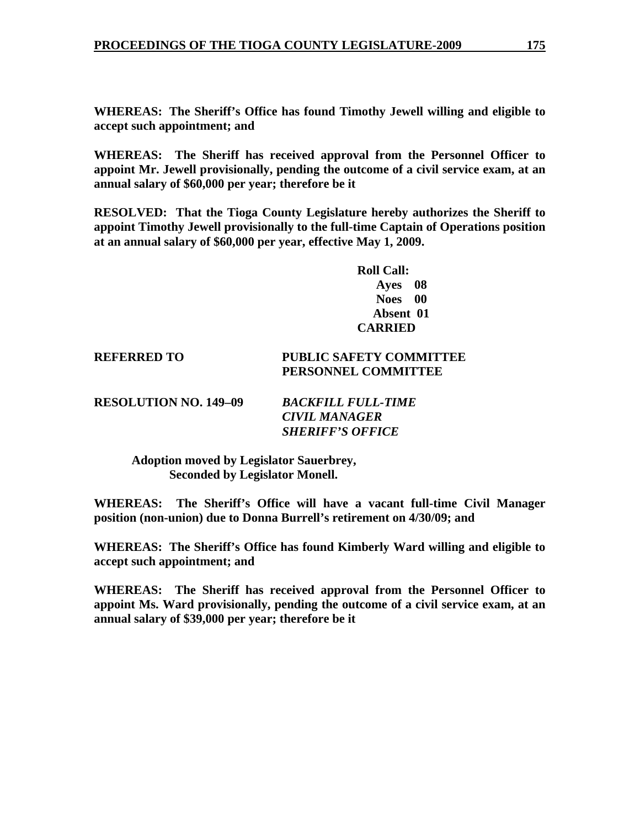**WHEREAS: The Sheriff's Office has found Timothy Jewell willing and eligible to accept such appointment; and** 

**WHEREAS: The Sheriff has received approval from the Personnel Officer to appoint Mr. Jewell provisionally, pending the outcome of a civil service exam, at an annual salary of \$60,000 per year; therefore be it** 

**RESOLVED: That the Tioga County Legislature hereby authorizes the Sheriff to appoint Timothy Jewell provisionally to the full-time Captain of Operations position at an annual salary of \$60,000 per year, effective May 1, 2009.** 

> **Roll Call: Ayes 08 Noes 00 Absent 01 CARRIED**

## **REFERRED TO PUBLIC SAFETY COMMITTEE PERSONNEL COMMITTEE**

**RESOLUTION NO. 149–09** *BACKFILL FULL-TIME* 

*CIVIL MANAGER SHERIFF'S OFFICE* 

 **Adoption moved by Legislator Sauerbrey, Seconded by Legislator Monell.** 

**WHEREAS: The Sheriff's Office will have a vacant full-time Civil Manager position (non-union) due to Donna Burrell's retirement on 4/30/09; and** 

**WHEREAS: The Sheriff's Office has found Kimberly Ward willing and eligible to accept such appointment; and** 

**WHEREAS: The Sheriff has received approval from the Personnel Officer to appoint Ms. Ward provisionally, pending the outcome of a civil service exam, at an annual salary of \$39,000 per year; therefore be it**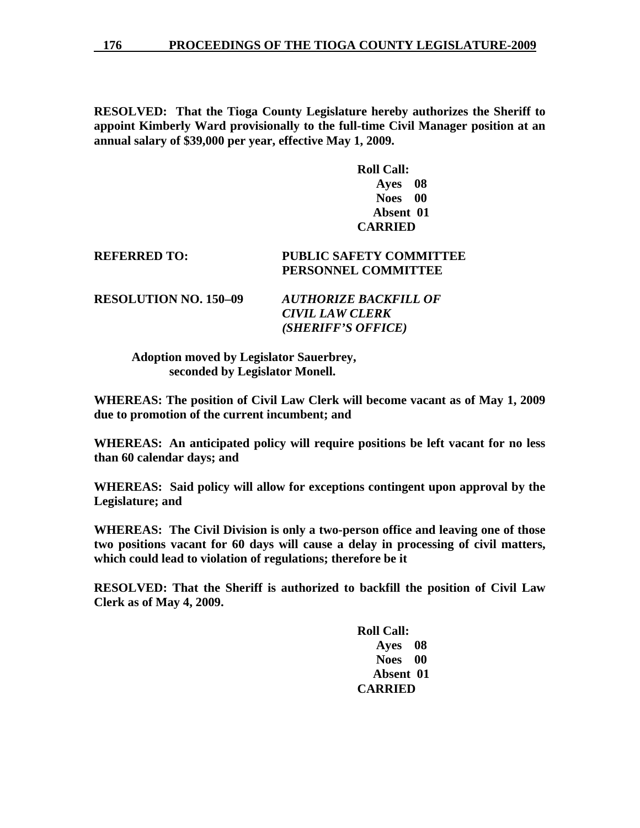**RESOLVED: That the Tioga County Legislature hereby authorizes the Sheriff to appoint Kimberly Ward provisionally to the full-time Civil Manager position at an annual salary of \$39,000 per year, effective May 1, 2009.** 

> **Roll Call: Ayes 08 Noes 00 Absent 01 CARRIED**

## **REFERRED TO: PUBLIC SAFETY COMMITTEE PERSONNEL COMMITTEE**

**RESOLUTION NO. 150–09** *AUTHORIZE BACKFILL OF CIVIL LAW CLERK (SHERIFF'S OFFICE)* 

> **Adoption moved by Legislator Sauerbrey, seconded by Legislator Monell.**

**WHEREAS: The position of Civil Law Clerk will become vacant as of May 1, 2009 due to promotion of the current incumbent; and** 

**WHEREAS: An anticipated policy will require positions be left vacant for no less than 60 calendar days; and** 

**WHEREAS: Said policy will allow for exceptions contingent upon approval by the Legislature; and** 

**WHEREAS: The Civil Division is only a two-person office and leaving one of those two positions vacant for 60 days will cause a delay in processing of civil matters, which could lead to violation of regulations; therefore be it** 

**RESOLVED: That the Sheriff is authorized to backfill the position of Civil Law Clerk as of May 4, 2009.** 

> **Roll Call: Ayes 08 Noes 00 Absent 01 CARRIED**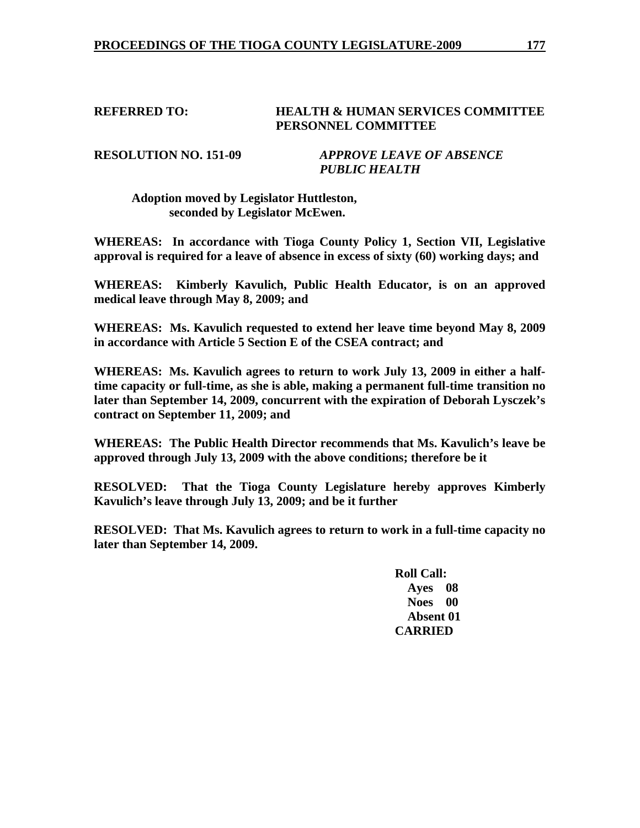## **REFERRED TO: HEALTH & HUMAN SERVICES COMMITTEE PERSONNEL COMMITTEE**

**RESOLUTION NO. 151-09** *APPROVE LEAVE OF ABSENCE PUBLIC HEALTH* 

## **Adoption moved by Legislator Huttleston, seconded by Legislator McEwen.**

**WHEREAS: In accordance with Tioga County Policy 1, Section VII, Legislative approval is required for a leave of absence in excess of sixty (60) working days; and** 

**WHEREAS: Kimberly Kavulich, Public Health Educator, is on an approved medical leave through May 8, 2009; and** 

**WHEREAS: Ms. Kavulich requested to extend her leave time beyond May 8, 2009 in accordance with Article 5 Section E of the CSEA contract; and** 

**WHEREAS: Ms. Kavulich agrees to return to work July 13, 2009 in either a halftime capacity or full-time, as she is able, making a permanent full-time transition no later than September 14, 2009, concurrent with the expiration of Deborah Lysczek's contract on September 11, 2009; and** 

**WHEREAS: The Public Health Director recommends that Ms. Kavulich's leave be approved through July 13, 2009 with the above conditions; therefore be it** 

**RESOLVED: That the Tioga County Legislature hereby approves Kimberly Kavulich's leave through July 13, 2009; and be it further** 

**RESOLVED: That Ms. Kavulich agrees to return to work in a full-time capacity no later than September 14, 2009.** 

> **Roll Call: Ayes 08 Noes 00 Absent 01 CARRIED**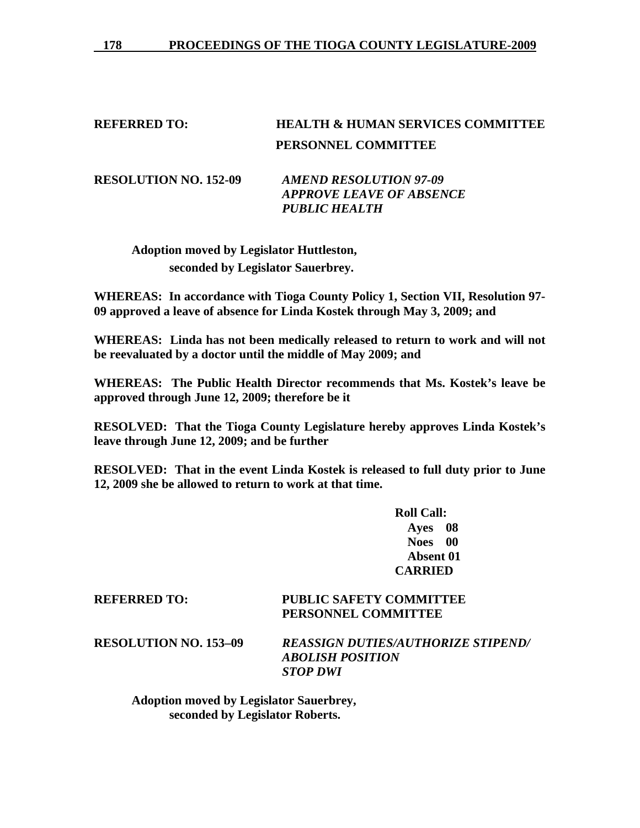# **REFERRED TO: HEALTH & HUMAN SERVICES COMMITTEE PERSONNEL COMMITTEE**

**RESOLUTION NO. 152-09** *AMEND RESOLUTION 97-09 APPROVE LEAVE OF ABSENCE PUBLIC HEALTH* 

**Adoption moved by Legislator Huttleston, seconded by Legislator Sauerbrey.** 

**WHEREAS: In accordance with Tioga County Policy 1, Section VII, Resolution 97- 09 approved a leave of absence for Linda Kostek through May 3, 2009; and** 

**WHEREAS: Linda has not been medically released to return to work and will not be reevaluated by a doctor until the middle of May 2009; and** 

**WHEREAS: The Public Health Director recommends that Ms. Kostek's leave be approved through June 12, 2009; therefore be it** 

**RESOLVED: That the Tioga County Legislature hereby approves Linda Kostek's leave through June 12, 2009; and be further** 

**RESOLVED: That in the event Linda Kostek is released to full duty prior to June 12, 2009 she be allowed to return to work at that time.** 

> **Roll Call: Ayes 08 Noes 00 Absent 01 CARRIED**

## **REFERRED TO: PUBLIC SAFETY COMMITTEE PERSONNEL COMMITTEE**

**RESOLUTION NO. 153–09** *REASSIGN DUTIES/AUTHORIZE STIPEND/ ABOLISH POSITION STOP DWI* 

 **Adoption moved by Legislator Sauerbrey, seconded by Legislator Roberts.**